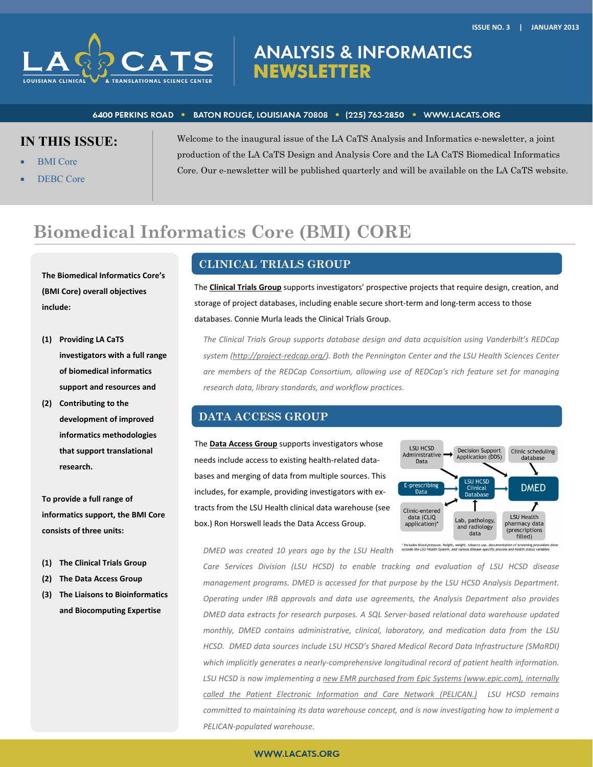

# **ANALYSIS & INFORMATICS NEWSLETTER**

#### 6400 PERKINS ROAD · BATON ROUGE, LOUISIANA 70808 · (225) 763-2850 · WWW.LACATS.ORG

# **IN THIS ISSUE:**

- BMI Core
- DEBC Core

Welcome to the inaugural issue of the LA CaTS Analysis and Informatics e-newsletter, a joint production of the LA CaTS Design and Analysis Core and the LA CaTS Biomedical Informatics Core. Our e-newsletter will be published quarterly and will be available on the LA CaTS website.

# **Biomedical Informatics Core (BMI) CORE**

**The Biomedical Informatics Core's (BMI Core) overall objectives include:**

- **(1) Providing LA CaTS investigators with a full range of biomedical informatics support and resources and**
- **(2) Contributing to the development of improved informatics methodologies that support translational research.**

**To provide a full range of informatics support, the BMI Core consists of three units:**

- **(1) The Clinical Trials Group**
- **(2) The Data Access Group**
- **(3) The Liaisons to Bioinformatics and Biocomputing Expertise**

# **CLINICAL TRIALS GROUP**

The **Clinical Trials Group** supports investigators' prospective projects that require design, creation, and storage of project databases, including enable secure short-term and long-term access to those databases. Connie Murla leads the Clinical Trials Group.

*The Clinical Trials Group supports database design and data acquisition using Vanderbilt's REDCap system (http://project‐redcap.org/). Both the Pennington Center and the LSU Health Sciences Center are members of the REDCap Consortium, allowing use of REDCap's rich feature set for managing research data, library standards, and workflow practices.* 

### **DATA ACCESS GROUP**

The **Data Access Group** supports investigators whose needs include access to existing health‐related data‐ bases and merging of data from multiple sources. This includes, for example, providing investigators with ex‐ tracts from the LSU Health clinical data warehouse (see box.) Ron Horswell leads the Data Access Group.



*DMED was created 10 years ago by the LSU Health*

\* Includes blood pressure, height, weight, tobacco use, docum<br>outside the LSU Health System, and various disease-specific pro ntation of screening procedure done<br>ICess and bealth status variables

*Care Services Division (LSU HCSD) to enable tracking and evaluation of LSU HCSD disease management programs. DMED is accessed for that purpose by the LSU HCSD Analysis Department. Operating under IRB approvals and data use agreements, the Analysis Department also provides DMED data extracts for research purposes. A SQL Server‐based relational data warehouse updated monthly, DMED contains administrative, clinical, laboratory, and medication data from the LSU HCSD. DMED data sources include LSU HCSD's Shared Medical Record Data Infrastructure (SMaRDI) which implicitly generates a nearly‐comprehensive longitudinal record of patient health information. LSU HCSD is now implementing a new EMR purchased from Epic Systems (www.epic.com), internally called the Patient Electronic Information and Care Network (PELICAN.) LSU HCSD remains committed to maintaining its data warehouse concept, and is now investigating how to implement a PELICAN‐populated warehouse.*

#### **WWW.LACATS.ORG**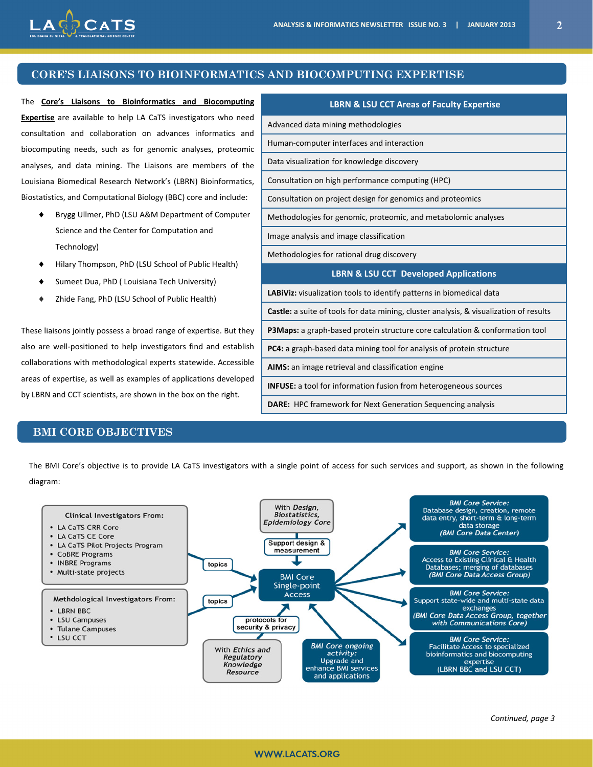**LBRN & LSU CCT Areas of Faculty Expertise** 

**LBRN & LSU CCT Developed Applications**

**Castle:** a suite of tools for data mining, cluster analysis, & visualization of results **P3Maps:** a graph‐based protein structure core calculation & conformation tool

Advanced data mining methodologies

Human‐computer interfaces and interaction

Data visualization for knowledge discovery

Image analysis and image classification Methodologies for rational drug discovery

Consultation on high performance computing (HPC)

Consultation on project design for genomics and proteomics

Methodologies for genomic, proteomic, and metabolomic analyses

**LABiViz:** visualization tools to identify patterns in biomedical data

**PC4:** a graph‐based data mining tool for analysis of protein structure

**INFUSE:** a tool for information fusion from heterogeneous sources **DARE:** HPC framework for Next Generation Sequencing analysis

**AIMS:** an image retrieval and classification engine



### **CORE'S LIAISONS TO BIOINFORMATICS AND BIOCOMPUTING EXPERTISE**

The **Core's Liaisons to Bioinformatics and Biocomputing Expertise** are available to help LA CaTS investigators who need consultation and collaboration on advances informatics and biocomputing needs, such as for genomic analyses, proteomic analyses, and data mining. The Liaisons are members of the Louisiana Biomedical Research Network's (LBRN) Bioinformatics, Biostatistics, and Computational Biology (BBC) core and include:

- ◆ Brygg Ullmer, PhD (LSU A&M Department of Computer Science and the Center for Computation and Technology)
- Hilary Thompson, PhD (LSU School of Public Health)
- Sumeet Dua, PhD ( Louisiana Tech University)
- Zhide Fang, PhD (LSU School of Public Health)

These liaisons jointly possess a broad range of expertise. But they also are well‐positioned to help investigators find and establish collaborations with methodological experts statewide. Accessible areas of expertise, as well as examples of applications developed by LBRN and CCT scientists, are shown in the box on the right.

#### **BMI CORE OBJECTIVES**

The BMI Core's objective is to provide LA CaTS investigators with a single point of access for such services and support, as shown in the following diagram:

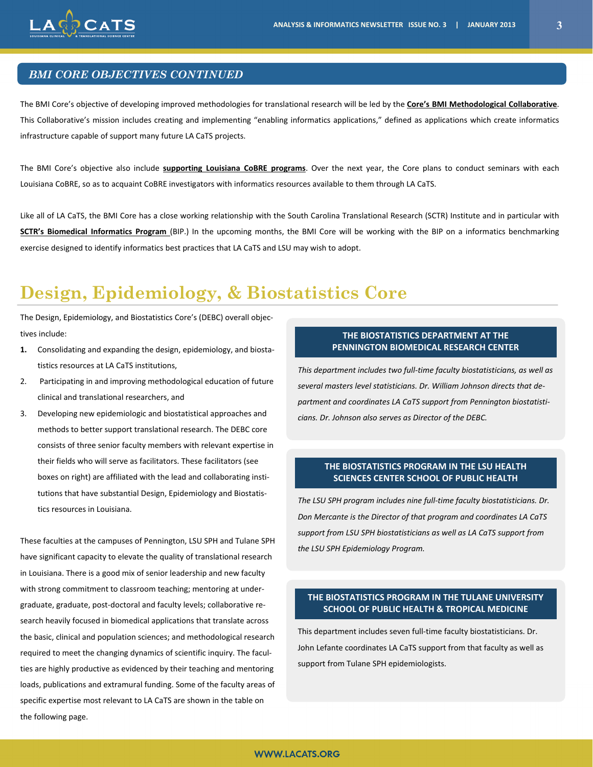

## *BMI CORE OBJECTIVES CONTINUED*

The BMI Core's objective of developing improved methodologies for translational research will be led by the **Core's BMI Methodological Collaborative**. This Collaborative's mission includes creating and implementing "enabling informatics applications," defined as applications which create informatics infrastructure capable of support many future LA CaTS projects.

The BMI Core's objective also include **supporting Louisiana CoBRE programs**. Over the next year, the Core plans to conduct seminars with each Louisiana CoBRE, so as to acquaint CoBRE investigators with informatics resources available to them through LA CaTS.

Like all of LA CaTS, the BMI Core has a close working relationship with the South Carolina Translational Research (SCTR) Institute and in particular with **SCTR's Biomedical Informatics Program** (BIP.) In the upcoming months, the BMI Core will be working with the BIP on a informatics benchmarking exercise designed to identify informatics best practices that LA CaTS and LSU may wish to adopt.

# **Design, Epidemiology, & Biostatistics Core**

The Design, Epidemiology, and Biostatistics Core's (DEBC) overall objec‐ tives include:

- **1.** Consolidating and expanding the design, epidemiology, and biosta‐ tistics resources at LA CaTS institutions,
- 2. Participating in and improving methodological education of future clinical and translational researchers, and
- 3. Developing new epidemiologic and biostatistical approaches and methods to better support translational research. The DEBC core consists of three senior faculty members with relevant expertise in their fields who will serve as facilitators. These facilitators (see boxes on right) are affiliated with the lead and collaborating insti‐ tutions that have substantial Design, Epidemiology and Biostatis‐ tics resources in Louisiana.

These faculties at the campuses of Pennington, LSU SPH and Tulane SPH have significant capacity to elevate the quality of translational research in Louisiana. There is a good mix of senior leadership and new faculty with strong commitment to classroom teaching; mentoring at under‐ graduate, graduate, post‐doctoral and faculty levels; collaborative re‐ search heavily focused in biomedical applications that translate across the basic, clinical and population sciences; and methodological research required to meet the changing dynamics of scientific inquiry. The facul‐ ties are highly productive as evidenced by their teaching and mentoring loads, publications and extramural funding. Some of the faculty areas of specific expertise most relevant to LA CaTS are shown in the table on the following page.

### **THE BIOSTATISTICS DEPARTMENT AT THE PENNINGTON BIOMEDICAL RESEARCH CENTER**

*This department includes two full‐time faculty biostatisticians, as well as several masters level statisticians. Dr. William Johnson directs that de‐ partment and coordinates LA CaTS support from Pennington biostatisti‐ cians. Dr. Johnson also serves as Director of the DEBC.* 

#### **THE BIOSTATISTICS PROGRAM IN THE LSU HEALTH SCIENCES CENTER SCHOOL OF PUBLIC HEALTH**

*The LSU SPH program includes nine full‐time faculty biostatisticians. Dr. Don Mercante is the Director of that program and coordinates LA CaTS support from LSU SPH biostatisticians as well as LA CaTS support from the LSU SPH Epidemiology Program.* 

#### **THE BIOSTATISTICS PROGRAM IN THE TULANE UNIVERSITY SCHOOL OF PUBLIC HEALTH & TROPICAL MEDICINE**

This department includes seven full‐time faculty biostatisticians. Dr. John Lefante coordinates LA CaTS support from that faculty as well as support from Tulane SPH epidemiologists.

#### **WWW.LACATS.ORG**